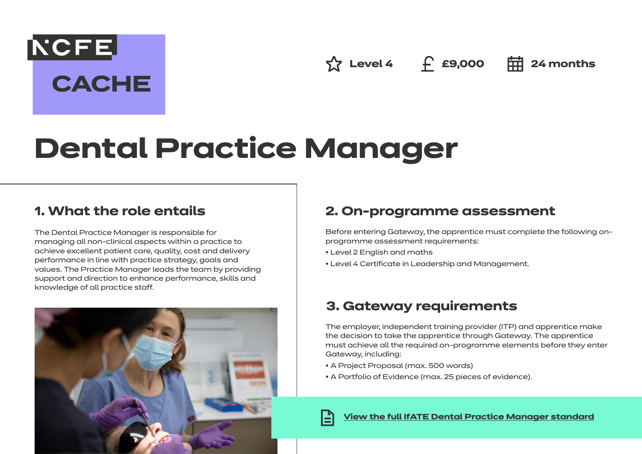**NCFE CACHE** 

 $\frac{1}{2}$  Level 4 **f** £9,000 **= = 24 months** 

# **Dental Practice Manager**

## **1. What the role entails**

The Dental Practice Manager is responsible for managing all non-clinical aspects within a practice to achieve excellent patient care, quality, cost and delivery performance in line with practice strategy, goals and values. The Practice Manager leads the team by providing support and direction to enhance performance, skills and knowledge of all practice staff.



## **2. On-programme assessment**

Before entering Gateway, the apprentice must complete the following onprogramme assessment requirements:

- Level 2 English and maths
- Level 4 Certificate in Leadership and Management.

## **3. Gateway requirements**

The employer, independent training provider (ITP) and apprentice make the decision to take the apprentice through Gateway. The apprentice must achieve all the required on-programme elements before they enter Gateway, including:

- A Project Proposal (max. 500 words)
- A Portfolio of Evidence (max. 25 pieces of evidence).